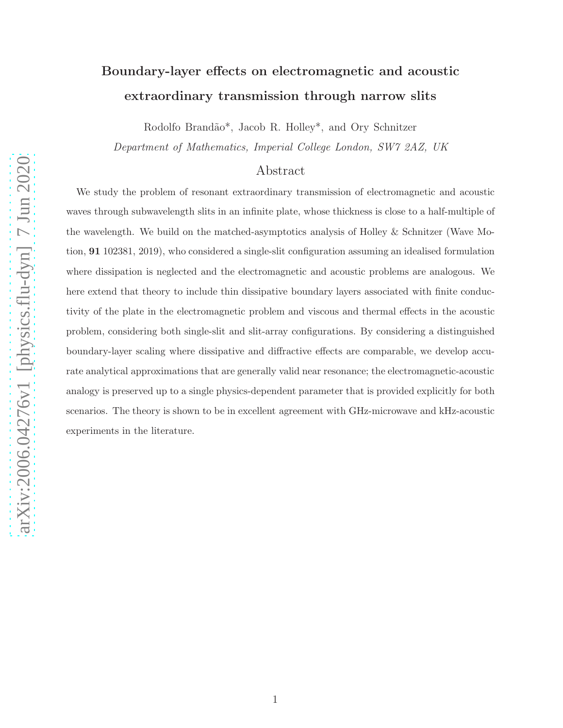# Boundary-layer effects on electromagnetic and acoustic extraordinary transmission through narrow slits

Rodolfo Brandão\*, Jacob R. Holley\*, and Ory Schnitzer

Department of Mathematics, Imperial College London, SW7 2AZ, UK

## Abstract

We study the problem of resonant extraordinary transmission of electromagnetic and acoustic waves through subwavelength slits in an infinite plate, whose thickness is close to a half-multiple of the wavelength. We build on the matched-asymptotics analysis of Holley & Schnitzer (Wave Motion, 91 102381, 2019), who considered a single-slit configuration assuming an idealised formulation where dissipation is neglected and the electromagnetic and acoustic problems are analogous. We here extend that theory to include thin dissipative boundary layers associated with finite conductivity of the plate in the electromagnetic problem and viscous and thermal effects in the acoustic problem, considering both single-slit and slit-array configurations. By considering a distinguished boundary-layer scaling where dissipative and diffractive effects are comparable, we develop accurate analytical approximations that are generally valid near resonance; the electromagnetic-acoustic analogy is preserved up to a single physics-dependent parameter that is provided explicitly for both scenarios. The theory is shown to be in excellent agreement with GHz-microwave and kHz-acoustic experiments in the literature.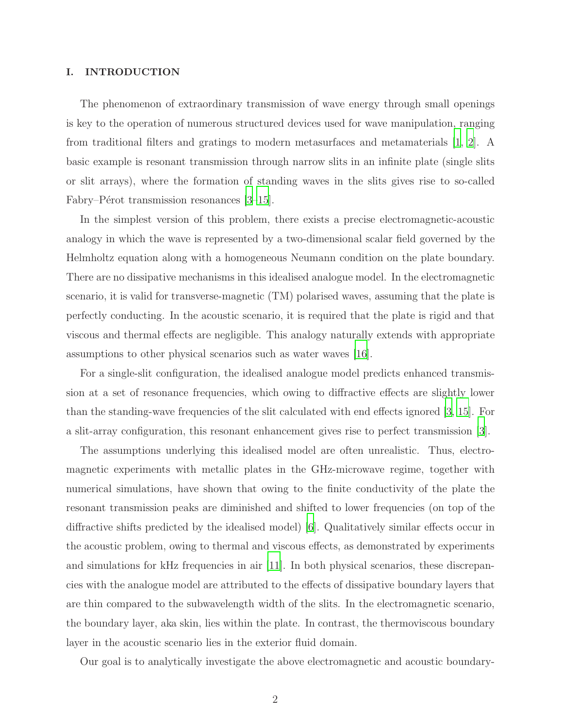## I. INTRODUCTION

The phenomenon of extraordinary transmission of wave energy through small openings is key to the operation of numerous structured devices used for wave manipulation, ranging from traditional filters and gratings to modern metasurfaces and metamaterials [\[1](#page-24-0), [2](#page-25-0)]. A basic example is resonant transmission through narrow slits in an infinite plate (single slits or slit arrays), where the formation of standing waves in the slits gives rise to so-called Fabry–Pérot transmission resonances  $[3-15]$ .

In the simplest version of this problem, there exists a precise electromagnetic-acoustic analogy in which the wave is represented by a two-dimensional scalar field governed by the Helmholtz equation along with a homogeneous Neumann condition on the plate boundary. There are no dissipative mechanisms in this idealised analogue model. In the electromagnetic scenario, it is valid for transverse-magnetic (TM) polarised waves, assuming that the plate is perfectly conducting. In the acoustic scenario, it is required that the plate is rigid and that viscous and thermal effects are negligible. This analogy naturally extends with appropriate assumptions to other physical scenarios such as water waves [\[16](#page-25-3)].

For a single-slit configuration, the idealised analogue model predicts enhanced transmission at a set of resonance frequencies, which owing to diffractive effects are slightly lower than the standing-wave frequencies of the slit calculated with end effects ignored [\[3](#page-25-1), [15\]](#page-25-2). For a slit-array configuration, this resonant enhancement gives rise to perfect transmission [\[3](#page-25-1)].

The assumptions underlying this idealised model are often unrealistic. Thus, electromagnetic experiments with metallic plates in the GHz-microwave regime, together with numerical simulations, have shown that owing to the finite conductivity of the plate the resonant transmission peaks are diminished and shifted to lower frequencies (on top of the diffractive shifts predicted by the idealised model) [\[6](#page-25-4)]. Qualitatively similar effects occur in the acoustic problem, owing to thermal and viscous effects, as demonstrated by experiments and simulations for kHz frequencies in air [\[11](#page-25-5)]. In both physical scenarios, these discrepancies with the analogue model are attributed to the effects of dissipative boundary layers that are thin compared to the subwavelength width of the slits. In the electromagnetic scenario, the boundary layer, aka skin, lies within the plate. In contrast, the thermoviscous boundary layer in the acoustic scenario lies in the exterior fluid domain.

Our goal is to analytically investigate the above electromagnetic and acoustic boundary-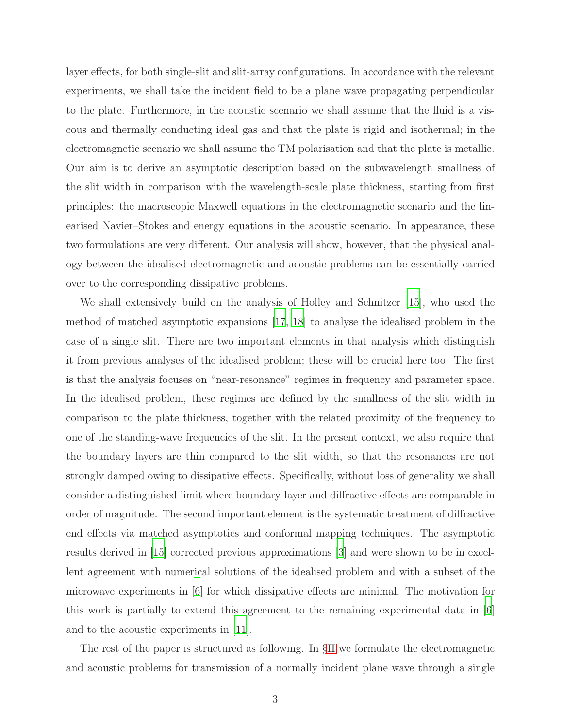layer effects, for both single-slit and slit-array configurations. In accordance with the relevant experiments, we shall take the incident field to be a plane wave propagating perpendicular to the plate. Furthermore, in the acoustic scenario we shall assume that the fluid is a viscous and thermally conducting ideal gas and that the plate is rigid and isothermal; in the electromagnetic scenario we shall assume the TM polarisation and that the plate is metallic. Our aim is to derive an asymptotic description based on the subwavelength smallness of the slit width in comparison with the wavelength-scale plate thickness, starting from first principles: the macroscopic Maxwell equations in the electromagnetic scenario and the linearised Navier–Stokes and energy equations in the acoustic scenario. In appearance, these two formulations are very different. Our analysis will show, however, that the physical analogy between the idealised electromagnetic and acoustic problems can be essentially carried over to the corresponding dissipative problems.

We shall extensively build on the analysis of Holley and Schnitzer [\[15](#page-25-2)], who used the method of matched asymptotic expansions [\[17,](#page-25-6) [18](#page-25-7)] to analyse the idealised problem in the case of a single slit. There are two important elements in that analysis which distinguish it from previous analyses of the idealised problem; these will be crucial here too. The first is that the analysis focuses on "near-resonance" regimes in frequency and parameter space. In the idealised problem, these regimes are defined by the smallness of the slit width in comparison to the plate thickness, together with the related proximity of the frequency to one of the standing-wave frequencies of the slit. In the present context, we also require that the boundary layers are thin compared to the slit width, so that the resonances are not strongly damped owing to dissipative effects. Specifically, without loss of generality we shall consider a distinguished limit where boundary-layer and diffractive effects are comparable in order of magnitude. The second important element is the systematic treatment of diffractive end effects via matched asymptotics and conformal mapping techniques. The asymptotic results derived in [\[15](#page-25-2)] corrected previous approximations [\[3](#page-25-1)] and were shown to be in excellent agreement with numerical solutions of the idealised problem and with a subset of the microwave experiments in [\[6\]](#page-25-4) for which dissipative effects are minimal. The motivation for this work is partially to extend this agreement to the remaining experimental data in [\[6\]](#page-25-4) and to the acoustic experiments in [\[11](#page-25-5)].

The rest of the paper is structured as following. In §[II](#page-3-0) we formulate the electromagnetic and acoustic problems for transmission of a normally incident plane wave through a single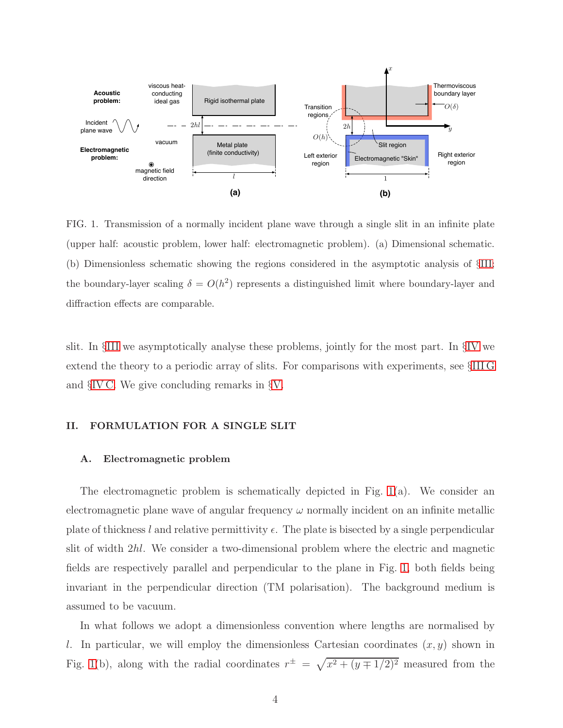

<span id="page-3-1"></span>FIG. 1. Transmission of a normally incident plane wave through a single slit in an infinite plate (upper half: acoustic problem, lower half: electromagnetic problem). (a) Dimensional schematic. (b) Dimensionless schematic showing the regions considered in the asymptotic analysis of §[III;](#page-7-0) the boundary-layer scaling  $\delta = O(h^2)$  represents a distinguished limit where boundary-layer and diffraction effects are comparable.

slit. In §[III](#page-7-0) we asymptotically analyse these problems, jointly for the most part. In §[IV](#page-20-0) we extend the theory to a periodic array of slits. For comparisons with experiments, see §[III G](#page-15-0) and §[IV C.](#page-24-1) We give concluding remarks in §[V.](#page-24-2)

## <span id="page-3-0"></span>II. FORMULATION FOR A SINGLE SLIT

## A. Electromagnetic problem

The electromagnetic problem is schematically depicted in Fig. [1\(](#page-3-1)a). We consider an electromagnetic plane wave of angular frequency  $\omega$  normally incident on an infinite metallic plate of thickness l and relative permittivity  $\epsilon$ . The plate is bisected by a single perpendicular slit of width 2hl. We consider a two-dimensional problem where the electric and magnetic fields are respectively parallel and perpendicular to the plane in Fig. [1,](#page-3-1) both fields being invariant in the perpendicular direction (TM polarisation). The background medium is assumed to be vacuum.

In what follows we adopt a dimensionless convention where lengths are normalised by l. In particular, we will employ the dimensionless Cartesian coordinates  $(x, y)$  shown in Fig. [1\(](#page-3-1)b), along with the radial coordinates  $r^{\pm} = \sqrt{x^2 + (y \mp 1/2)^2}$  measured from the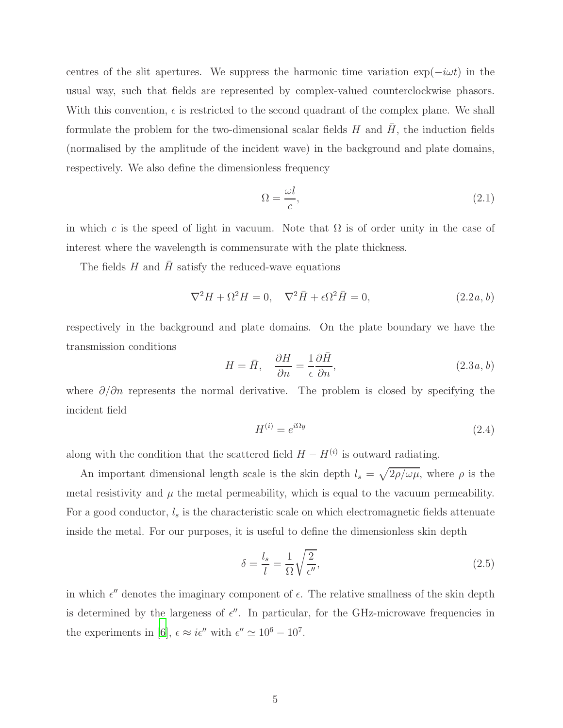centres of the slit apertures. We suppress the harmonic time variation  $\exp(-i\omega t)$  in the usual way, such that fields are represented by complex-valued counterclockwise phasors. With this convention,  $\epsilon$  is restricted to the second quadrant of the complex plane. We shall formulate the problem for the two-dimensional scalar fields  $H$  and  $H$ , the induction fields (normalised by the amplitude of the incident wave) in the background and plate domains, respectively. We also define the dimensionless frequency

<span id="page-4-4"></span><span id="page-4-0"></span>
$$
\Omega = \frac{\omega l}{c},\tag{2.1}
$$

in which c is the speed of light in vacuum. Note that  $\Omega$  is of order unity in the case of interest where the wavelength is commensurate with the plate thickness.

The fields  $H$  and  $H$  satisfy the reduced-wave equations

<span id="page-4-3"></span>
$$
\nabla^2 H + \Omega^2 H = 0, \quad \nabla^2 \bar{H} + \epsilon \Omega^2 \bar{H} = 0,
$$
\n(2.2*a*, *b*)

respectively in the background and plate domains. On the plate boundary we have the transmission conditions

$$
H = \bar{H}, \quad \frac{\partial H}{\partial n} = \frac{1}{\epsilon} \frac{\partial \bar{H}}{\partial n}, \tag{2.3a, b}
$$

where  $\partial/\partial n$  represents the normal derivative. The problem is closed by specifying the incident field

<span id="page-4-2"></span>
$$
H^{(i)} = e^{i\Omega y} \tag{2.4}
$$

along with the condition that the scattered field  $H - H^{(i)}$  is outward radiating.

An important dimensional length scale is the skin depth  $l_s = \sqrt{2\rho/\omega\mu}$ , where  $\rho$  is the metal resistivity and  $\mu$  the metal permeability, which is equal to the vacuum permeability. For a good conductor,  $l_s$  is the characteristic scale on which electromagnetic fields attenuate inside the metal. For our purposes, it is useful to define the dimensionless skin depth

<span id="page-4-1"></span>
$$
\delta = \frac{l_s}{l} = \frac{1}{\Omega} \sqrt{\frac{2}{\epsilon''}},\tag{2.5}
$$

in which  $\epsilon''$  denotes the imaginary component of  $\epsilon$ . The relative smallness of the skin depth is determined by the largeness of  $\epsilon''$ . In particular, for the GHz-microwave frequencies in the experiments in [\[6](#page-25-4)],  $\epsilon \approx i\epsilon''$  with  $\epsilon'' \approx 10^6 - 10^7$ .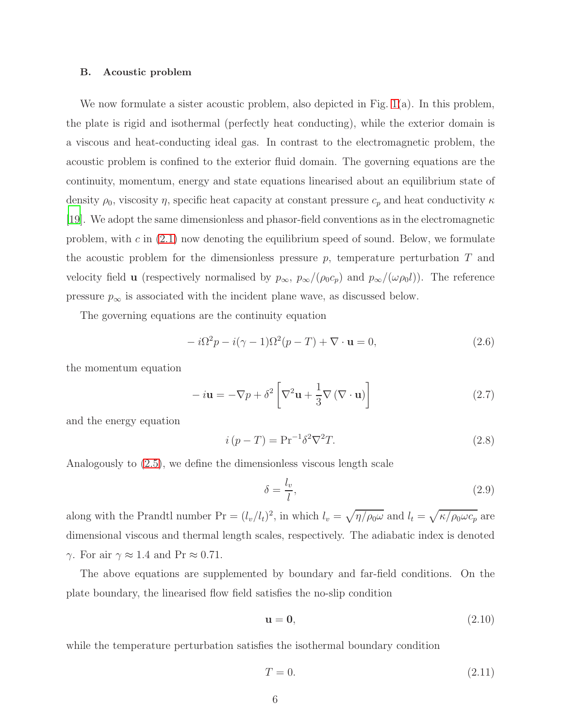#### B. Acoustic problem

We now formulate a sister acoustic problem, also depicted in Fig. [1\(](#page-3-1)a). In this problem, the plate is rigid and isothermal (perfectly heat conducting), while the exterior domain is a viscous and heat-conducting ideal gas. In contrast to the electromagnetic problem, the acoustic problem is confined to the exterior fluid domain. The governing equations are the continuity, momentum, energy and state equations linearised about an equilibrium state of density  $\rho_0$ , viscosity  $\eta$ , specific heat capacity at constant pressure  $c_p$  and heat conductivity  $\kappa$ [\[19](#page-25-8)]. We adopt the same dimensionless and phasor-field conventions as in the electromagnetic problem, with c in  $(2.1)$  now denoting the equilibrium speed of sound. Below, we formulate the acoustic problem for the dimensionless pressure  $p$ , temperature perturbation  $T$  and velocity field **u** (respectively normalised by  $p_{\infty}$ ,  $p_{\infty}/(\rho_0 c_p)$  and  $p_{\infty}/(\omega \rho_0 l)$ ). The reference pressure  $p_{\infty}$  is associated with the incident plane wave, as discussed below.

The governing equations are the continuity equation

<span id="page-5-0"></span>
$$
-i\Omega^2 p - i(\gamma - 1)\Omega^2 (p - T) + \nabla \cdot \mathbf{u} = 0,
$$
\n(2.6)

the momentum equation

<span id="page-5-3"></span>
$$
-i\mathbf{u} = -\nabla p + \delta^2 \left[ \nabla^2 \mathbf{u} + \frac{1}{3} \nabla (\nabla \cdot \mathbf{u}) \right]
$$
 (2.7)

and the energy equation

<span id="page-5-1"></span>
$$
i\left(p - T\right) = \mathbf{Pr}^{-1} \delta^2 \nabla^2 T. \tag{2.8}
$$

Analogously to [\(2.5\)](#page-4-1), we define the dimensionless viscous length scale

<span id="page-5-2"></span>
$$
\delta = \frac{l_v}{l},\tag{2.9}
$$

along with the Prandtl number  $\Pr = (l_v/l_t)^2$ , in which  $l_v = \sqrt{\eta/\rho_0 \omega}$  and  $l_t = \sqrt{\kappa/\rho_0 \omega c_p}$  are dimensional viscous and thermal length scales, respectively. The adiabatic index is denoted  $\gamma$ . For air  $\gamma \approx 1.4$  and Pr  $\approx 0.71$ .

The above equations are supplemented by boundary and far-field conditions. On the plate boundary, the linearised flow field satisfies the no-slip condition

<span id="page-5-4"></span>
$$
\mathbf{u} = \mathbf{0},\tag{2.10}
$$

while the temperature perturbation satisfies the isothermal boundary condition

<span id="page-5-5"></span>
$$
T = 0.\t\t(2.11)
$$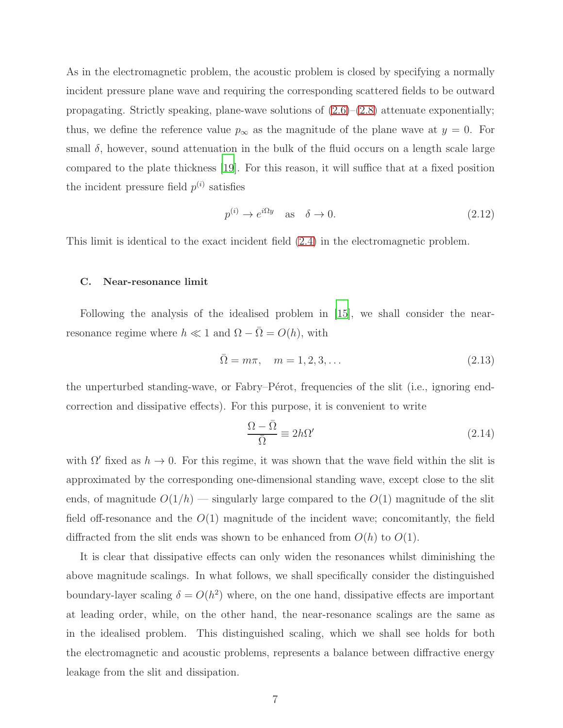As in the electromagnetic problem, the acoustic problem is closed by specifying a normally incident pressure plane wave and requiring the corresponding scattered fields to be outward propagating. Strictly speaking, plane-wave solutions of  $(2.6)$ – $(2.8)$  attenuate exponentially; thus, we define the reference value  $p_{\infty}$  as the magnitude of the plane wave at  $y = 0$ . For small  $\delta$ , however, sound attenuation in the bulk of the fluid occurs on a length scale large compared to the plate thickness [\[19\]](#page-25-8). For this reason, it will suffice that at a fixed position the incident pressure field  $p^{(i)}$  satisfies

<span id="page-6-2"></span>
$$
p^{(i)} \to e^{i\Omega y} \quad \text{as} \quad \delta \to 0. \tag{2.12}
$$

This limit is identical to the exact incident field [\(2.4\)](#page-4-2) in the electromagnetic problem.

## <span id="page-6-0"></span>C. Near-resonance limit

Following the analysis of the idealised problem in [\[15\]](#page-25-2), we shall consider the nearresonance regime where  $h \ll 1$  and  $\Omega - \overline{\Omega} = O(h)$ , with

<span id="page-6-3"></span>
$$
\bar{\Omega} = m\pi, \quad m = 1, 2, 3, \dots
$$
\n(2.13)

the unperturbed standing-wave, or Fabry–Pérot, frequencies of the slit (i.e., ignoring endcorrection and dissipative effects). For this purpose, it is convenient to write

<span id="page-6-1"></span>
$$
\frac{\Omega - \bar{\Omega}}{\bar{\Omega}} \equiv 2h\Omega'
$$
\n(2.14)

with  $\Omega'$  fixed as  $h \to 0$ . For this regime, it was shown that the wave field within the slit is approximated by the corresponding one-dimensional standing wave, except close to the slit ends, of magnitude  $O(1/h)$  — singularly large compared to the  $O(1)$  magnitude of the slit field off-resonance and the  $O(1)$  magnitude of the incident wave; concomitantly, the field diffracted from the slit ends was shown to be enhanced from  $O(h)$  to  $O(1)$ .

It is clear that dissipative effects can only widen the resonances whilst diminishing the above magnitude scalings. In what follows, we shall specifically consider the distinguished boundary-layer scaling  $\delta = O(h^2)$  where, on the one hand, dissipative effects are important at leading order, while, on the other hand, the near-resonance scalings are the same as in the idealised problem. This distinguished scaling, which we shall see holds for both the electromagnetic and acoustic problems, represents a balance between diffractive energy leakage from the slit and dissipation.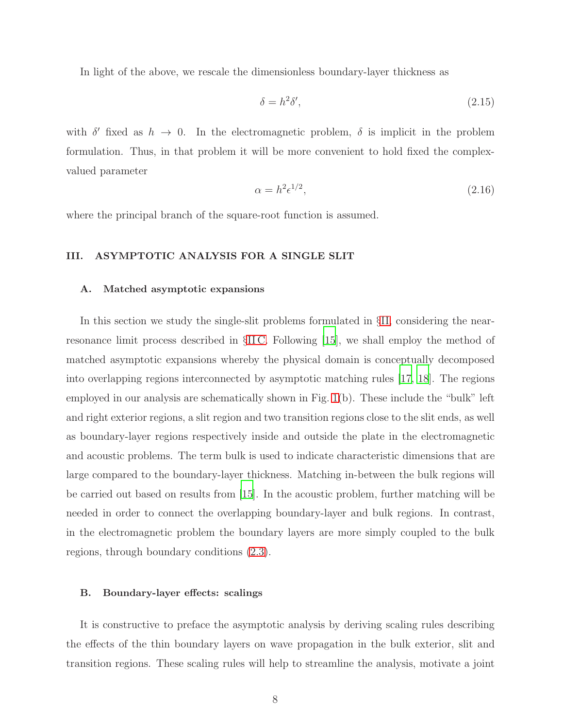In light of the above, we rescale the dimensionless boundary-layer thickness as

<span id="page-7-1"></span>
$$
\delta = h^2 \delta',\tag{2.15}
$$

with  $\delta'$  fixed as  $h \to 0$ . In the electromagnetic problem,  $\delta$  is implicit in the problem formulation. Thus, in that problem it will be more convenient to hold fixed the complexvalued parameter

<span id="page-7-3"></span>
$$
\alpha = h^2 \epsilon^{1/2},\tag{2.16}
$$

where the principal branch of the square-root function is assumed.

## <span id="page-7-0"></span>III. ASYMPTOTIC ANALYSIS FOR A SINGLE SLIT

#### A. Matched asymptotic expansions

In this section we study the single-slit problems formulated in §[II,](#page-3-0) considering the nearresonance limit process described in §[II C.](#page-6-0) Following [\[15](#page-25-2)], we shall employ the method of matched asymptotic expansions whereby the physical domain is conceptually decomposed into overlapping regions interconnected by asymptotic matching rules [\[17,](#page-25-6) [18](#page-25-7)]. The regions employed in our analysis are schematically shown in Fig. [1\(](#page-3-1)b). These include the "bulk" left and right exterior regions, a slit region and two transition regions close to the slit ends, as well as boundary-layer regions respectively inside and outside the plate in the electromagnetic and acoustic problems. The term bulk is used to indicate characteristic dimensions that are large compared to the boundary-layer thickness. Matching in-between the bulk regions will be carried out based on results from [\[15\]](#page-25-2). In the acoustic problem, further matching will be needed in order to connect the overlapping boundary-layer and bulk regions. In contrast, in the electromagnetic problem the boundary layers are more simply coupled to the bulk regions, through boundary conditions [\(2.3\)](#page-4-3).

#### <span id="page-7-2"></span>B. Boundary-layer effects: scalings

It is constructive to preface the asymptotic analysis by deriving scaling rules describing the effects of the thin boundary layers on wave propagation in the bulk exterior, slit and transition regions. These scaling rules will help to streamline the analysis, motivate a joint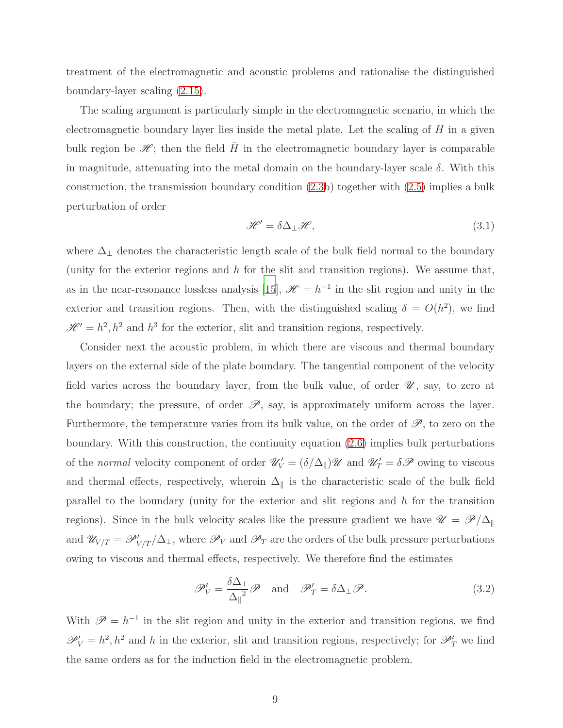treatment of the electromagnetic and acoustic problems and rationalise the distinguished boundary-layer scaling [\(2.15\)](#page-7-1).

The scaling argument is particularly simple in the electromagnetic scenario, in which the electromagnetic boundary layer lies inside the metal plate. Let the scaling of  $H$  in a given bulk region be  $\mathscr{H}$ ; then the field H in the electromagnetic boundary layer is comparable in magnitude, attenuating into the metal domain on the boundary-layer scale  $\delta$ . With this construction, the transmission boundary condition [\(2.3b](#page-4-3)) together with [\(2.5\)](#page-4-1) implies a bulk perturbation of order

$$
\mathcal{H}' = \delta \Delta_{\perp} \mathcal{H},\tag{3.1}
$$

where  $\Delta_\perp$  denotes the characteristic length scale of the bulk field normal to the boundary (unity for the exterior regions and  $h$  for the slit and transition regions). We assume that, as in the near-resonance lossless analysis [\[15\]](#page-25-2),  $\mathcal{H} = h^{-1}$  in the slit region and unity in the exterior and transition regions. Then, with the distinguished scaling  $\delta = O(h^2)$ , we find  $\mathcal{H} = h^2, h^2$  and  $h^3$  for the exterior, slit and transition regions, respectively.

Consider next the acoustic problem, in which there are viscous and thermal boundary layers on the external side of the plate boundary. The tangential component of the velocity field varies across the boundary layer, from the bulk value, of order  $\mathscr{U}$ , say, to zero at the boundary; the pressure, of order  $\mathscr{P}$ , say, is approximately uniform across the layer. Furthermore, the temperature varies from its bulk value, on the order of  $\mathscr{P}$ , to zero on the boundary. With this construction, the continuity equation [\(2.6\)](#page-5-0) implies bulk perturbations of the normal velocity component of order  $\mathscr{U}'_V = (\delta/\Delta_{\parallel})\mathscr{U}$  and  $\mathscr{U}'_T = \delta\mathscr{P}$  owing to viscous and thermal effects, respectively, wherein  $\Delta_{\parallel}$  is the characteristic scale of the bulk field parallel to the boundary (unity for the exterior and slit regions and h for the transition regions). Since in the bulk velocity scales like the pressure gradient we have  $\mathcal{U} = \mathcal{P}/\Delta_{\parallel}$ and  $\mathscr{U}_{V/T} = \mathscr{P}'_{V/T}/\Delta_{\perp}$ , where  $\mathscr{P}_V$  and  $\mathscr{P}_T$  are the orders of the bulk pressure perturbations owing to viscous and thermal effects, respectively. We therefore find the estimates

$$
\mathscr{P}'_{V} = \frac{\delta \Delta_{\perp}}{\Delta_{\parallel}^{2}} \mathscr{P} \quad \text{and} \quad \mathscr{P}'_{T} = \delta \Delta_{\perp} \mathscr{P}. \tag{3.2}
$$

With  $\mathscr{P} = h^{-1}$  in the slit region and unity in the exterior and transition regions, we find  $\mathscr{P}'_V = h^2, h^2$  and h in the exterior, slit and transition regions, respectively; for  $\mathscr{P}'_T$  we find the same orders as for the induction field in the electromagnetic problem.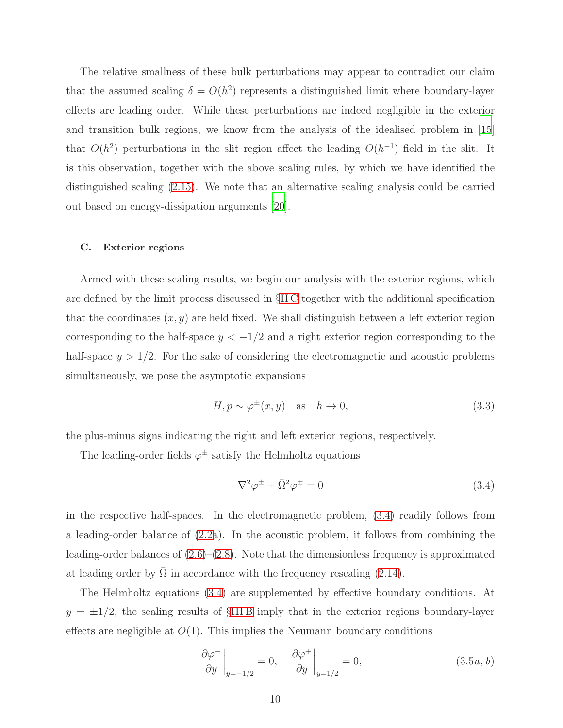The relative smallness of these bulk perturbations may appear to contradict our claim that the assumed scaling  $\delta = O(h^2)$  represents a distinguished limit where boundary-layer effects are leading order. While these perturbations are indeed negligible in the exterior and transition bulk regions, we know from the analysis of the idealised problem in [\[15\]](#page-25-2) that  $O(h^2)$  perturbations in the slit region affect the leading  $O(h^{-1})$  field in the slit. It is this observation, together with the above scaling rules, by which we have identified the distinguished scaling [\(2.15\)](#page-7-1). We note that an alternative scaling analysis could be carried out based on energy-dissipation arguments [\[20\]](#page-25-9).

## C. Exterior regions

Armed with these scaling results, we begin our analysis with the exterior regions, which are defined by the limit process discussed in §[II C](#page-6-0) together with the additional specification that the coordinates  $(x, y)$  are held fixed. We shall distinguish between a left exterior region corresponding to the half-space  $y < -1/2$  and a right exterior region corresponding to the half-space  $y > 1/2$ . For the sake of considering the electromagnetic and acoustic problems simultaneously, we pose the asymptotic expansions

$$
H, p \sim \varphi^{\pm}(x, y) \quad \text{as} \quad h \to 0,
$$
\n<sup>(3.3)</sup>

the plus-minus signs indicating the right and left exterior regions, respectively.

The leading-order fields  $\varphi^{\pm}$  satisfy the Helmholtz equations

<span id="page-9-0"></span>
$$
\nabla^2 \varphi^{\pm} + \bar{\Omega}^2 \varphi^{\pm} = 0 \tag{3.4}
$$

in the respective half-spaces. In the electromagnetic problem, [\(3.4\)](#page-9-0) readily follows from a leading-order balance of [\(2.2a](#page-4-4)). In the acoustic problem, it follows from combining the leading-order balances of  $(2.6)$ – $(2.8)$ . Note that the dimensionless frequency is approximated at leading order by  $\Omega$  in accordance with the frequency rescaling [\(2.14\)](#page-6-1).

The Helmholtz equations [\(3.4\)](#page-9-0) are supplemented by effective boundary conditions. At  $y = \pm 1/2$ , the scaling results of §[III B](#page-7-2) imply that in the exterior regions boundary-layer effects are negligible at  $O(1)$ . This implies the Neumann boundary conditions

<span id="page-9-1"></span>
$$
\left. \frac{\partial \varphi^-}{\partial y} \right|_{y=-1/2} = 0, \quad \left. \frac{\partial \varphi^+}{\partial y} \right|_{y=1/2} = 0, \tag{3.5a, b}
$$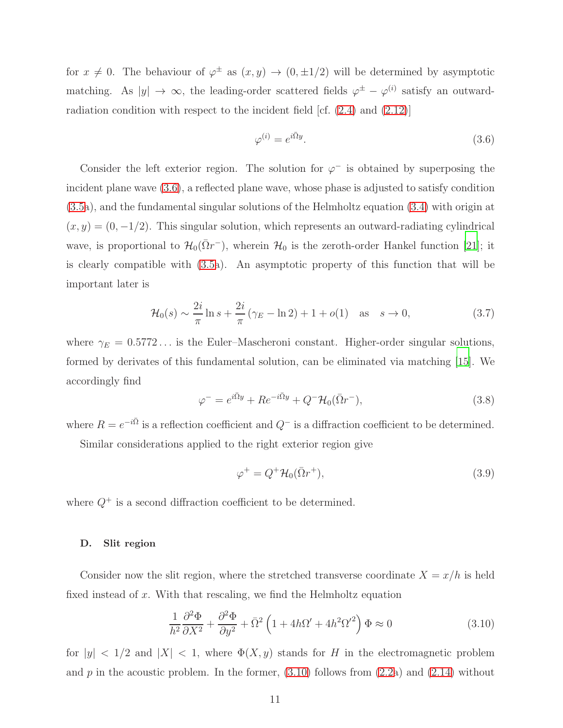for  $x \neq 0$ . The behaviour of  $\varphi^{\pm}$  as  $(x, y) \rightarrow (0, \pm 1/2)$  will be determined by asymptotic matching. As  $|y| \to \infty$ , the leading-order scattered fields  $\varphi^{\pm} - \varphi^{(i)}$  satisfy an outwardradiation condition with respect to the incident field [cf. [\(2.4\)](#page-4-2) and [\(2.12\)](#page-6-2)]

<span id="page-10-0"></span>
$$
\varphi^{(i)} = e^{i\bar{\Omega}y}.\tag{3.6}
$$

Consider the left exterior region. The solution for  $\varphi^-$  is obtained by superposing the incident plane wave [\(3.6\)](#page-10-0), a reflected plane wave, whose phase is adjusted to satisfy condition [\(3.5a](#page-9-1)), and the fundamental singular solutions of the Helmholtz equation [\(3.4\)](#page-9-0) with origin at  $(x, y) = (0, -1/2)$ . This singular solution, which represents an outward-radiating cylindrical wave, is proportional to  $\mathcal{H}_0(\bar{\Omega}r^-)$ , wherein  $\mathcal{H}_0$  is the zeroth-order Hankel function [\[21\]](#page-25-10); it is clearly compatible with [\(3.5a](#page-9-1)). An asymptotic property of this function that will be important later is

<span id="page-10-4"></span>
$$
\mathcal{H}_0(s) \sim \frac{2i}{\pi} \ln s + \frac{2i}{\pi} (\gamma_E - \ln 2) + 1 + o(1) \quad \text{as} \quad s \to 0,
$$
\n(3.7)

where  $\gamma_E = 0.5772...$  is the Euler–Mascheroni constant. Higher-order singular solutions, formed by derivates of this fundamental solution, can be eliminated via matching [\[15\]](#page-25-2). We accordingly find

<span id="page-10-2"></span>
$$
\varphi^- = e^{i\bar{\Omega}y} + Re^{-i\bar{\Omega}y} + Q^- \mathcal{H}_0(\bar{\Omega}r^-), \tag{3.8}
$$

where  $R = e^{-i\bar{\Omega}}$  is a reflection coefficient and  $Q^-$  is a diffraction coefficient to be determined.

Similar considerations applied to the right exterior region give

<span id="page-10-3"></span>
$$
\varphi^+ = Q^+ \mathcal{H}_0(\bar{\Omega}r^+),\tag{3.9}
$$

where  $Q^+$  is a second diffraction coefficient to be determined.

#### <span id="page-10-5"></span>D. Slit region

Consider now the slit region, where the stretched transverse coordinate  $X = x/h$  is held fixed instead of  $x$ . With that rescaling, we find the Helmholtz equation

<span id="page-10-1"></span>
$$
\frac{1}{h^2}\frac{\partial^2 \Phi}{\partial X^2} + \frac{\partial^2 \Phi}{\partial y^2} + \bar{\Omega}^2 \left(1 + 4h\Omega' + 4h^2\Omega'^2\right) \Phi \approx 0
$$
\n(3.10)

for  $|y| < 1/2$  and  $|X| < 1$ , where  $\Phi(X, y)$  stands for H in the electromagnetic problem and  $p$  in the acoustic problem. In the former,  $(3.10)$  follows from  $(2.2a)$  and  $(2.14)$  without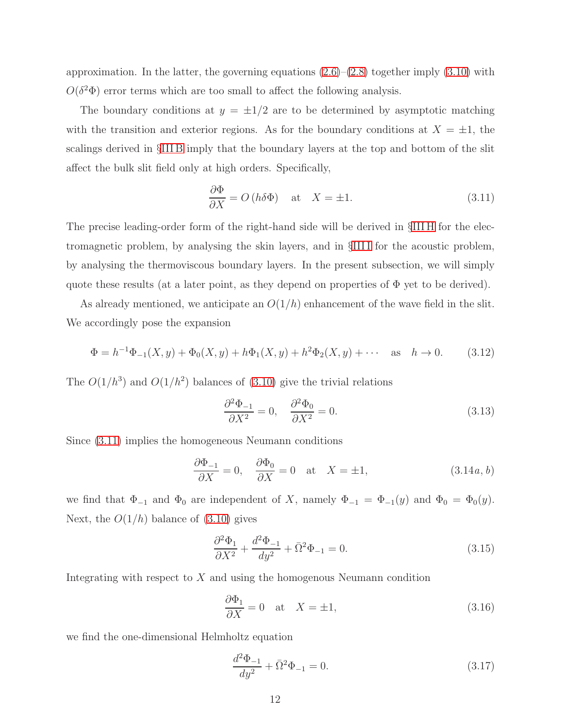approximation. In the latter, the governing equations  $(2.6)$ – $(2.8)$  together imply  $(3.10)$  with  $O(\delta^2 \Phi)$  error terms which are too small to affect the following analysis.

The boundary conditions at  $y = \pm 1/2$  are to be determined by asymptotic matching with the transition and exterior regions. As for the boundary conditions at  $X = \pm 1$ , the scalings derived in §[III B](#page-7-2) imply that the boundary layers at the top and bottom of the slit affect the bulk slit field only at high orders. Specifically,

<span id="page-11-0"></span>
$$
\frac{\partial \Phi}{\partial X} = O(h\delta\Phi) \quad \text{at} \quad X = \pm 1. \tag{3.11}
$$

The precise leading-order form of the right-hand side will be derived in §[III H](#page-16-0) for the electromagnetic problem, by analysing the skin layers, and in §[III I](#page-17-0) for the acoustic problem, by analysing the thermoviscous boundary layers. In the present subsection, we will simply quote these results (at a later point, as they depend on properties of  $\Phi$  yet to be derived).

As already mentioned, we anticipate an  $O(1/h)$  enhancement of the wave field in the slit. We accordingly pose the expansion

<span id="page-11-3"></span>
$$
\Phi = h^{-1}\Phi_{-1}(X,y) + \Phi_0(X,y) + h\Phi_1(X,y) + h^2\Phi_2(X,y) + \cdots \quad \text{as} \quad h \to 0. \tag{3.12}
$$

The  $O(1/h^3)$  and  $O(1/h^2)$  balances of [\(3.10\)](#page-10-1) give the trivial relations

$$
\frac{\partial^2 \Phi_{-1}}{\partial X^2} = 0, \quad \frac{\partial^2 \Phi_0}{\partial X^2} = 0.
$$
\n(3.13)

Since [\(3.11\)](#page-11-0) implies the homogeneous Neumann conditions

$$
\frac{\partial \Phi_{-1}}{\partial X} = 0, \quad \frac{\partial \Phi_0}{\partial X} = 0 \quad \text{at} \quad X = \pm 1,
$$
\n(3.14*a*, *b*)

we find that  $\Phi_{-1}$  and  $\Phi_0$  are independent of X, namely  $\Phi_{-1} = \Phi_{-1}(y)$  and  $\Phi_0 = \Phi_0(y)$ . Next, the  $O(1/h)$  balance of  $(3.10)$  gives

<span id="page-11-1"></span>
$$
\frac{\partial^2 \Phi_1}{\partial X^2} + \frac{d^2 \Phi_{-1}}{dy^2} + \bar{\Omega}^2 \Phi_{-1} = 0.
$$
 (3.15)

Integrating with respect to  $X$  and using the homogenous Neumann condition

$$
\frac{\partial \Phi_1}{\partial X} = 0 \quad \text{at} \quad X = \pm 1,\tag{3.16}
$$

we find the one-dimensional Helmholtz equation

<span id="page-11-2"></span>
$$
\frac{d^2\Phi_{-1}}{dy^2} + \bar{\Omega}^2 \Phi_{-1} = 0.
$$
\n(3.17)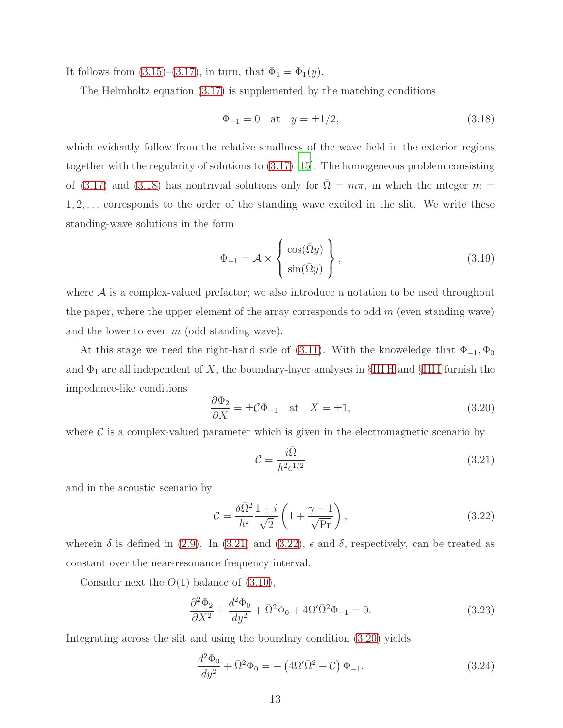It follows from  $(3.15)-(3.17)$  $(3.15)-(3.17)$ , in turn, that  $\Phi_1 = \Phi_1(y)$ .

The Helmholtz equation [\(3.17\)](#page-11-2) is supplemented by the matching conditions

<span id="page-12-0"></span>
$$
\Phi_{-1} = 0
$$
 at  $y = \pm 1/2$ , (3.18)

which evidently follow from the relative smallness of the wave field in the exterior regions together with the regularity of solutions to [\(3.17\)](#page-11-2) [\[15\]](#page-25-2). The homogeneous problem consisting of [\(3.17\)](#page-11-2) and [\(3.18\)](#page-12-0) has nontrivial solutions only for  $\overline{\Omega} = m\pi$ , in which the integer  $m =$  $1, 2, \ldots$  corresponds to the order of the standing wave excited in the slit. We write these standing-wave solutions in the form

<span id="page-12-5"></span>
$$
\Phi_{-1} = \mathcal{A} \times \left\{ \begin{array}{c} \cos(\bar{\Omega}y) \\ \sin(\bar{\Omega}y) \end{array} \right\},\tag{3.19}
$$

where  $A$  is a complex-valued prefactor; we also introduce a notation to be used throughout the paper, where the upper element of the array corresponds to odd  $m$  (even standing wave) and the lower to even  $m$  (odd standing wave).

At this stage we need the right-hand side of [\(3.11\)](#page-11-0). With the knoweledge that  $\Phi_{-1}, \Phi_0$ and  $\Phi_1$  are all independent of X, the boundary-layer analyses in §[III H](#page-16-0) and §IIII furnish the impedance-like conditions

<span id="page-12-3"></span>
$$
\frac{\partial \Phi_2}{\partial X} = \pm \mathcal{C} \Phi_{-1} \quad \text{at} \quad X = \pm 1,\tag{3.20}
$$

where  $\mathcal C$  is a complex-valued parameter which is given in the electromagnetic scenario by

<span id="page-12-1"></span>
$$
\mathcal{C} = \frac{i\bar{\Omega}}{h^2 \epsilon^{1/2}}\tag{3.21}
$$

and in the acoustic scenario by

<span id="page-12-2"></span>
$$
\mathcal{C} = \frac{\delta \bar{\Omega}^2}{h^2} \frac{1+i}{\sqrt{2}} \left( 1 + \frac{\gamma - 1}{\sqrt{\text{Pr}}} \right),\tag{3.22}
$$

wherein  $\delta$  is defined in [\(2.9\)](#page-5-2). In [\(3.21\)](#page-12-1) and [\(3.22\)](#page-12-2),  $\epsilon$  and  $\delta$ , respectively, can be treated as constant over the near-resonance frequency interval.

Consider next the  $O(1)$  balance of  $(3.10)$ ,

$$
\frac{\partial^2 \Phi_2}{\partial X^2} + \frac{d^2 \Phi_0}{dy^2} + \bar{\Omega}^2 \Phi_0 + 4\Omega' \bar{\Omega}^2 \Phi_{-1} = 0.
$$
\n(3.23)

Integrating across the slit and using the boundary condition [\(3.20\)](#page-12-3) yields

<span id="page-12-4"></span>
$$
\frac{d^2\Phi_0}{dy^2} + \bar{\Omega}^2 \Phi_0 = - (4\Omega'\bar{\Omega}^2 + \mathcal{C}) \Phi_{-1}.
$$
\n(3.24)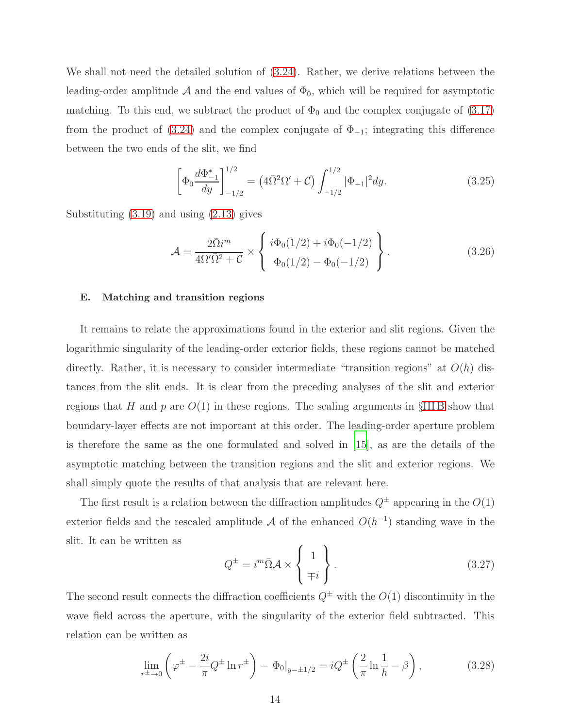We shall not need the detailed solution of [\(3.24\)](#page-12-4). Rather, we derive relations between the leading-order amplitude A and the end values of  $\Phi_0$ , which will be required for asymptotic matching. To this end, we subtract the product of  $\Phi_0$  and the complex conjugate of  $(3.17)$ from the product of  $(3.24)$  and the complex conjugate of  $\Phi_{-1}$ ; integrating this difference between the two ends of the slit, we find

$$
\left[\Phi_0 \frac{d\Phi_{-1}^*}{dy}\right]_{-1/2}^{1/2} = \left(4\bar{\Omega}^2 \Omega' + \mathcal{C}\right) \int_{-1/2}^{1/2} |\Phi_{-1}|^2 dy. \tag{3.25}
$$

Substituting [\(3.19\)](#page-12-5) and using [\(2.13\)](#page-6-3) gives

<span id="page-13-1"></span>
$$
\mathcal{A} = \frac{2\bar{\Omega}i^m}{4\Omega'\bar{\Omega}^2 + C} \times \begin{Bmatrix} i\Phi_0(1/2) + i\Phi_0(-1/2) \\ \Phi_0(1/2) - \Phi_0(-1/2) \end{Bmatrix} . \tag{3.26}
$$

## E. Matching and transition regions

It remains to relate the approximations found in the exterior and slit regions. Given the logarithmic singularity of the leading-order exterior fields, these regions cannot be matched directly. Rather, it is necessary to consider intermediate "transition regions" at  $O(h)$  distances from the slit ends. It is clear from the preceding analyses of the slit and exterior regions that H and p are  $O(1)$  in these regions. The scaling arguments in §[III B](#page-7-2) show that boundary-layer effects are not important at this order. The leading-order aperture problem is therefore the same as the one formulated and solved in [\[15\]](#page-25-2), as are the details of the asymptotic matching between the transition regions and the slit and exterior regions. We shall simply quote the results of that analysis that are relevant here.

The first result is a relation between the diffraction amplitudes  $Q^{\pm}$  appearing in the  $O(1)$ exterior fields and the rescaled amplitude  $A$  of the enhanced  $O(h^{-1})$  standing wave in the slit. It can be written as

<span id="page-13-2"></span>
$$
Q^{\pm} = i^m \bar{\Omega} \mathcal{A} \times \begin{Bmatrix} 1 \\ \mp i \end{Bmatrix}.
$$
 (3.27)

The second result connects the diffraction coefficients  $Q^{\pm}$  with the  $O(1)$  discontinuity in the wave field across the aperture, with the singularity of the exterior field subtracted. This relation can be written as

<span id="page-13-0"></span>
$$
\lim_{r^{\pm}\to 0} \left(\varphi^{\pm} - \frac{2i}{\pi} Q^{\pm} \ln r^{\pm}\right) - \Phi_0|_{y=\pm 1/2} = iQ^{\pm} \left(\frac{2}{\pi} \ln \frac{1}{h} - \beta\right),\tag{3.28}
$$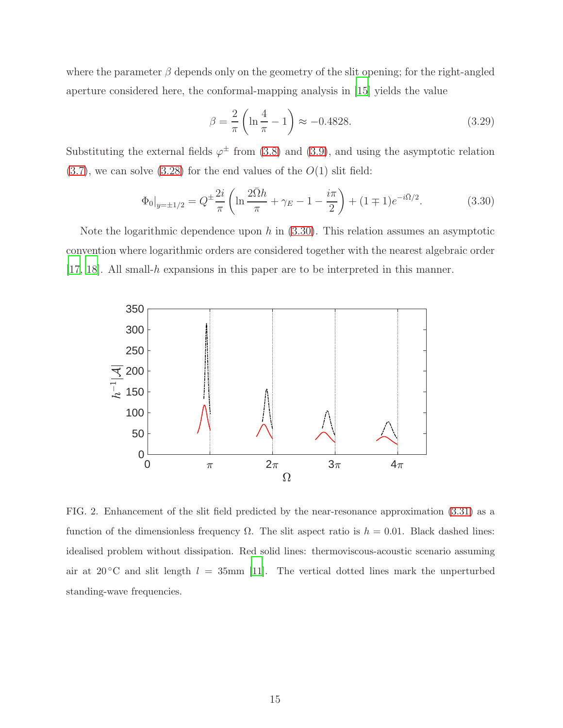where the parameter  $\beta$  depends only on the geometry of the slit opening; for the right-angled aperture considered here, the conformal-mapping analysis in [\[15](#page-25-2)] yields the value

$$
\beta = \frac{2}{\pi} \left( \ln \frac{4}{\pi} - 1 \right) \approx -0.4828. \tag{3.29}
$$

Substituting the external fields  $\varphi^{\pm}$  from [\(3.8\)](#page-10-2) and [\(3.9\)](#page-10-3), and using the asymptotic relation  $(3.7)$ , we can solve  $(3.28)$  for the end values of the  $O(1)$  slit field:

<span id="page-14-0"></span>
$$
\Phi_0|_{y=\pm 1/2} = Q^{\pm \frac{2i}{\pi}} \left( \ln \frac{2\bar{\Omega}h}{\pi} + \gamma_E - 1 - \frac{i\pi}{2} \right) + (1 \mp 1)e^{-i\bar{\Omega}/2}.
$$
 (3.30)

Note the logarithmic dependence upon h in  $(3.30)$ . This relation assumes an asymptotic convention where logarithmic orders are considered together with the nearest algebraic order [\[17](#page-25-6), [18\]](#page-25-7). All small-h expansions in this paper are to be interpreted in this manner.



<span id="page-14-1"></span>FIG. 2. Enhancement of the slit field predicted by the near-resonance approximation [\(3.31\)](#page-15-1) as a function of the dimensionless frequency  $\Omega$ . The slit aspect ratio is  $h = 0.01$ . Black dashed lines: idealised problem without dissipation. Red solid lines: thermoviscous-acoustic scenario assuming air at 20 °C and slit length  $l = 35$ mm [\[11](#page-25-5)]. The vertical dotted lines mark the unperturbed standing-wave frequencies.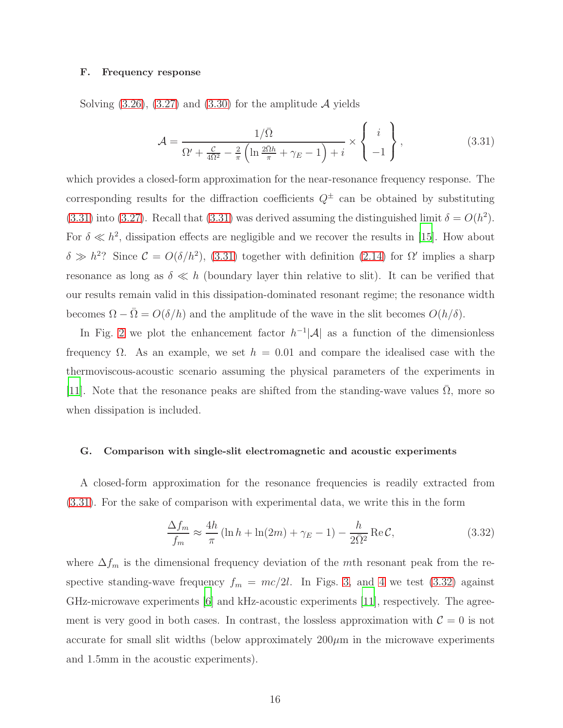#### F. Frequency response

Solving  $(3.26)$ ,  $(3.27)$  and  $(3.30)$  for the amplitude A yields

<span id="page-15-1"></span>
$$
\mathcal{A} = \frac{1/\bar{\Omega}}{\Omega' + \frac{\mathcal{C}}{4\Omega^2} - \frac{2}{\pi} \left( \ln \frac{2\bar{\Omega}h}{\pi} + \gamma_E - 1 \right) + i} \times \begin{Bmatrix} i \\ -1 \end{Bmatrix},
$$
(3.31)

which provides a closed-form approximation for the near-resonance frequency response. The corresponding results for the diffraction coefficients  $Q^{\pm}$  can be obtained by substituting [\(3.31\)](#page-15-1) into [\(3.27\)](#page-13-2). Recall that [\(3.31\)](#page-15-1) was derived assuming the distinguished limit  $\delta = O(h^2)$ . For  $\delta \ll h^2$ , dissipation effects are negligible and we recover the results in [\[15\]](#page-25-2). How about  $\delta \gg h^2$ ? Since  $\mathcal{C} = O(\delta/h^2)$ , [\(3.31\)](#page-15-1) together with definition [\(2.14\)](#page-6-1) for  $\Omega'$  implies a sharp resonance as long as  $\delta \ll h$  (boundary layer thin relative to slit). It can be verified that our results remain valid in this dissipation-dominated resonant regime; the resonance width becomes  $\Omega - \bar{\Omega} = O(\delta/h)$  and the amplitude of the wave in the slit becomes  $O(h/\delta)$ .

In Fig. [2](#page-14-1) we plot the enhancement factor  $h^{-1}|\mathcal{A}|$  as a function of the dimensionless frequency  $\Omega$ . As an example, we set  $h = 0.01$  and compare the idealised case with the thermoviscous-acoustic scenario assuming the physical parameters of the experiments in [\[11](#page-25-5)]. Note that the resonance peaks are shifted from the standing-wave values  $\overline{\Omega}$ , more so when dissipation is included.

#### <span id="page-15-0"></span>G. Comparison with single-slit electromagnetic and acoustic experiments

A closed-form approximation for the resonance frequencies is readily extracted from [\(3.31\)](#page-15-1). For the sake of comparison with experimental data, we write this in the form

<span id="page-15-2"></span>
$$
\frac{\Delta f_m}{f_m} \approx \frac{4h}{\pi} \left( \ln h + \ln(2m) + \gamma_E - 1 \right) - \frac{h}{2\bar{\Omega}^2} \operatorname{Re} C,\tag{3.32}
$$

where  $\Delta f_m$  is the dimensional frequency deviation of the mth resonant peak from the respective standing-wave frequency  $f_m = mc/2l$ . In Figs. [3,](#page-16-1) and [4](#page-16-2) we test [\(3.32\)](#page-15-2) against GHz-microwave experiments [\[6\]](#page-25-4) and kHz-acoustic experiments [\[11\]](#page-25-5), respectively. The agreement is very good in both cases. In contrast, the lossless approximation with  $\mathcal{C} = 0$  is not accurate for small slit widths (below approximately  $200\mu$ m in the microwave experiments and 1.5mm in the acoustic experiments).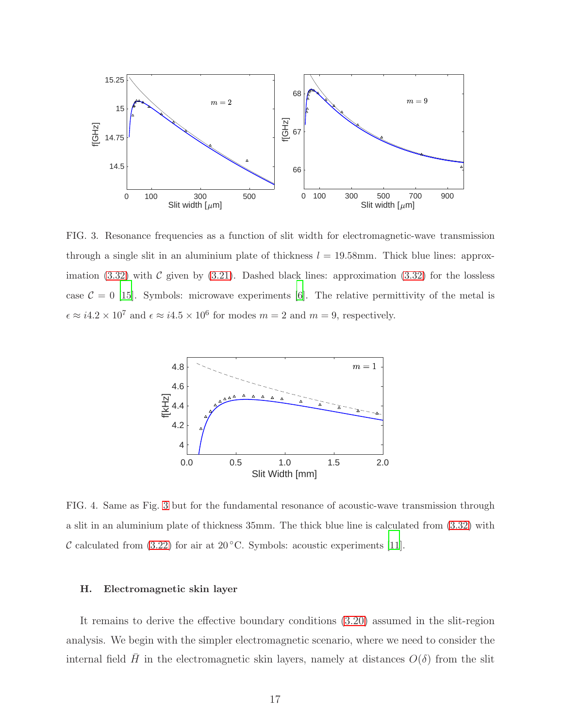

<span id="page-16-1"></span>FIG. 3. Resonance frequencies as a function of slit width for electromagnetic-wave transmission through a single slit in an aluminium plate of thickness  $l = 19.58$ mm. Thick blue lines: approximation  $(3.32)$  with C given by  $(3.21)$ . Dashed black lines: approximation  $(3.32)$  for the lossless case  $C = 0$  [\[15](#page-25-2)]. Symbols: microwave experiments [\[6](#page-25-4)]. The relative permittivity of the metal is  $\epsilon \approx i4.2 \times 10^7$  and  $\epsilon \approx i4.5 \times 10^6$  for modes  $m = 2$  and  $m = 9$ , respectively.



<span id="page-16-2"></span>FIG. 4. Same as Fig. [3](#page-16-1) but for the fundamental resonance of acoustic-wave transmission through a slit in an aluminium plate of thickness 35mm. The thick blue line is calculated from [\(3.32\)](#page-15-2) with C calculated from  $(3.22)$  for air at 20 °C. Symbols: acoustic experiments [\[11\]](#page-25-5).

#### <span id="page-16-0"></span>H. Electromagnetic skin layer

It remains to derive the effective boundary conditions [\(3.20\)](#page-12-3) assumed in the slit-region analysis. We begin with the simpler electromagnetic scenario, where we need to consider the internal field H in the electromagnetic skin layers, namely at distances  $O(\delta)$  from the slit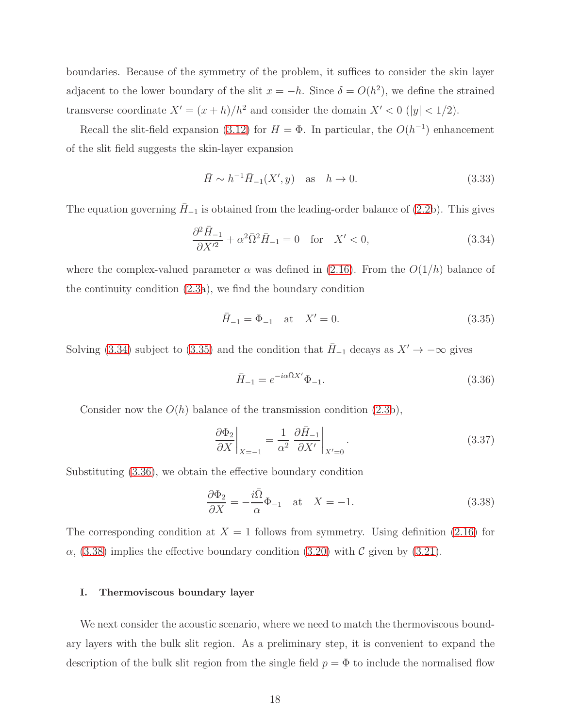boundaries. Because of the symmetry of the problem, it suffices to consider the skin layer adjacent to the lower boundary of the slit  $x = -h$ . Since  $\delta = O(h^2)$ , we define the strained transverse coordinate  $X' = (x + h)/h^2$  and consider the domain  $X' < 0$  (|y| < 1/2).

Recall the slit-field expansion [\(3.12\)](#page-11-3) for  $H = \Phi$ . In particular, the  $O(h^{-1})$  enhancement of the slit field suggests the skin-layer expansion

$$
\bar{H} \sim h^{-1} \bar{H}_{-1}(X', y)
$$
 as  $h \to 0$ . (3.33)

The equation governing  $\bar{H}_{-1}$  is obtained from the leading-order balance of [\(2.2b](#page-4-4)). This gives

<span id="page-17-1"></span>
$$
\frac{\partial^2 \bar{H}_{-1}}{\partial X'^2} + \alpha^2 \bar{\Omega}^2 \bar{H}_{-1} = 0 \quad \text{for} \quad X' < 0,\tag{3.34}
$$

where the complex-valued parameter  $\alpha$  was defined in [\(2.16\)](#page-7-3). From the  $O(1/h)$  balance of the continuity condition [\(2.3a](#page-4-3)), we find the boundary condition

<span id="page-17-2"></span>
$$
\bar{H}_{-1} = \Phi_{-1} \quad \text{at} \quad X' = 0. \tag{3.35}
$$

Solving [\(3.34\)](#page-17-1) subject to [\(3.35\)](#page-17-2) and the condition that  $H_{-1}$  decays as  $X' \to -\infty$  gives

<span id="page-17-3"></span>
$$
\bar{H}_{-1} = e^{-i\alpha \bar{\Omega}X'} \Phi_{-1}.
$$
\n(3.36)

Consider now the  $O(h)$  balance of the transmission condition  $(2.3b)$ ,

$$
\left. \frac{\partial \Phi_2}{\partial X} \right|_{X=-1} = \frac{1}{\alpha^2} \left. \frac{\partial \bar{H}_{-1}}{\partial X'} \right|_{X'=0} . \tag{3.37}
$$

Substituting [\(3.36\)](#page-17-3), we obtain the effective boundary condition

<span id="page-17-4"></span>
$$
\frac{\partial \Phi_2}{\partial X} = -\frac{i\overline{\Omega}}{\alpha} \Phi_{-1} \quad \text{at} \quad X = -1. \tag{3.38}
$$

The corresponding condition at  $X = 1$  follows from symmetry. Using definition [\(2.16\)](#page-7-3) for  $\alpha$ , [\(3.38\)](#page-17-4) implies the effective boundary condition [\(3.20\)](#page-12-3) with C given by [\(3.21\)](#page-12-1).

## <span id="page-17-0"></span>I. Thermoviscous boundary layer

We next consider the acoustic scenario, where we need to match the thermoviscous boundary layers with the bulk slit region. As a preliminary step, it is convenient to expand the description of the bulk slit region from the single field  $p = \Phi$  to include the normalised flow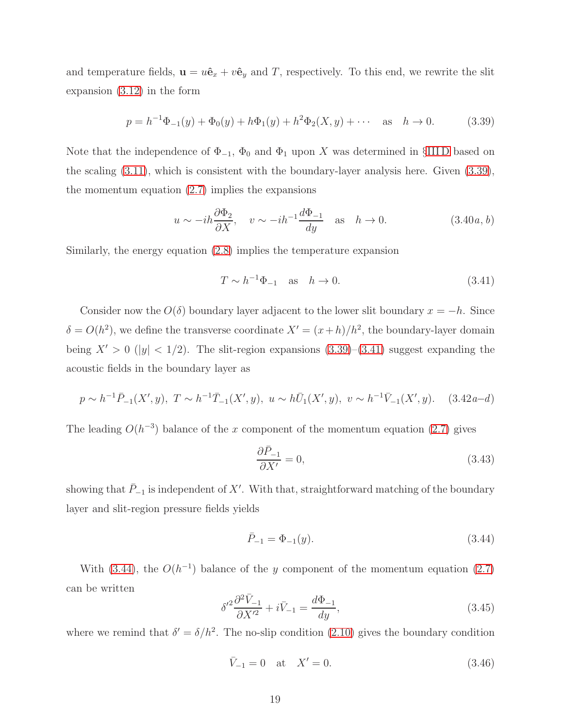and temperature fields,  $\mathbf{u} = u\hat{\mathbf{e}}_x + v\hat{\mathbf{e}}_y$  and T, respectively. To this end, we rewrite the slit expansion [\(3.12\)](#page-11-3) in the form

<span id="page-18-0"></span>
$$
p = h^{-1}\Phi_{-1}(y) + \Phi_0(y) + h\Phi_1(y) + h^2\Phi_2(X, y) + \cdots \quad \text{as} \quad h \to 0. \tag{3.39}
$$

Note that the independence of  $\Phi_{-1}$ ,  $\Phi_0$  and  $\Phi_1$  upon X was determined in §IIID based on the scaling [\(3.11\)](#page-11-0), which is consistent with the boundary-layer analysis here. Given [\(3.39\)](#page-18-0), the momentum equation [\(2.7\)](#page-5-3) implies the expansions

$$
u \sim -ih \frac{\partial \Phi_2}{\partial X}, \quad v \sim -ih^{-1} \frac{d\Phi_{-1}}{dy} \quad \text{as} \quad h \to 0.
$$
 (3.40*a*, *b*)

Similarly, the energy equation [\(2.8\)](#page-5-1) implies the temperature expansion

<span id="page-18-1"></span>
$$
T \sim h^{-1} \Phi_{-1} \quad \text{as} \quad h \to 0. \tag{3.41}
$$

Consider now the  $O(\delta)$  boundary layer adjacent to the lower slit boundary  $x = -h$ . Since  $\delta = O(h^2)$ , we define the transverse coordinate  $X' = (x+h)/h^2$ , the boundary-layer domain being  $X' > 0$  (|y| < 1/2). The slit-region expansions [\(3.39\)](#page-18-0)–[\(3.41\)](#page-18-1) suggest expanding the acoustic fields in the boundary layer as

$$
p \sim h^{-1} \bar{P}_{-1}(X', y), \ T \sim h^{-1} \bar{T}_{-1}(X', y), \ u \sim h \bar{U}_1(X', y), \ v \sim h^{-1} \bar{V}_{-1}(X', y). \tag{3.42a-d}
$$

The leading  $O(h^{-3})$  balance of the x component of the momentum equation [\(2.7\)](#page-5-3) gives

$$
\frac{\partial \bar{P}_{-1}}{\partial X'} = 0,\t\t(3.43)
$$

showing that  $\bar{P}_{-1}$  is independent of X'. With that, straightforward matching of the boundary layer and slit-region pressure fields yields

<span id="page-18-2"></span>
$$
\bar{P}_{-1} = \Phi_{-1}(y). \tag{3.44}
$$

With [\(3.44\)](#page-18-2), the  $O(h^{-1})$  balance of the y component of the momentum equation [\(2.7\)](#page-5-3) can be written

<span id="page-18-3"></span>
$$
\delta'^2 \frac{\partial^2 \bar{V}_{-1}}{\partial X'^2} + i \bar{V}_{-1} = \frac{d\Phi_{-1}}{dy},\tag{3.45}
$$

where we remind that  $\delta' = \delta/h^2$ . The no-slip condition [\(2.10\)](#page-5-4) gives the boundary condition

<span id="page-18-4"></span>
$$
\bar{V}_{-1} = 0 \quad \text{at} \quad X' = 0. \tag{3.46}
$$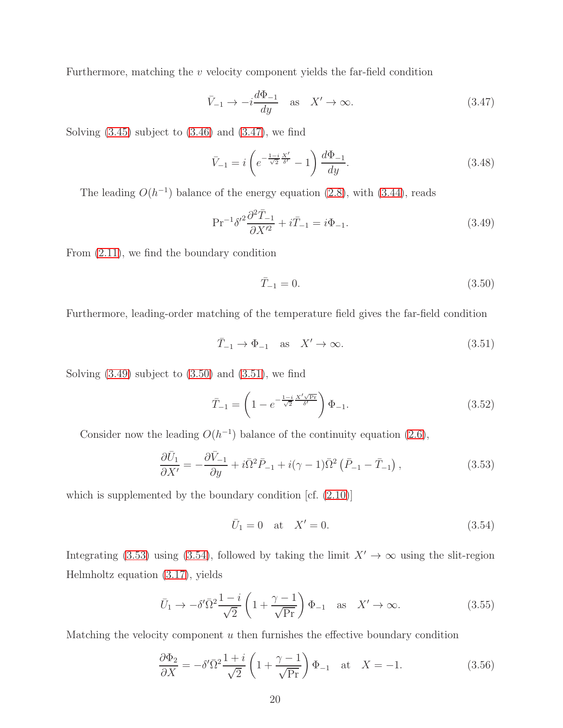Furthermore, matching the  $v$  velocity component yields the far-field condition

<span id="page-19-0"></span>
$$
\bar{V}_{-1} \to -i\frac{d\Phi_{-1}}{dy} \quad \text{as} \quad X' \to \infty. \tag{3.47}
$$

Solving  $(3.45)$  subject to  $(3.46)$  and  $(3.47)$ , we find

$$
\bar{V}_{-1} = i \left( e^{-\frac{1-i}{\sqrt{2}} \frac{X'}{\delta'}} - 1 \right) \frac{d\Phi_{-1}}{dy}.
$$
\n(3.48)

The leading  $O(h^{-1})$  balance of the energy equation [\(2.8\)](#page-5-1), with [\(3.44\)](#page-18-2), reads

<span id="page-19-1"></span>
$$
Pr^{-1}\delta'^{2}\frac{\partial^{2}\bar{T}_{-1}}{\partial X'^{2}} + i\bar{T}_{-1} = i\Phi_{-1}.
$$
\n(3.49)

From [\(2.11\)](#page-5-5), we find the boundary condition

<span id="page-19-2"></span>
$$
\bar{T}_{-1} = 0.\t\t(3.50)
$$

Furthermore, leading-order matching of the temperature field gives the far-field condition

<span id="page-19-3"></span>
$$
\bar{T}_{-1} \to \Phi_{-1} \quad \text{as} \quad X' \to \infty. \tag{3.51}
$$

Solving  $(3.49)$  subject to  $(3.50)$  and  $(3.51)$ , we find

$$
\bar{T}_{-1} = \left(1 - e^{-\frac{1-i}{\sqrt{2}} \frac{X' \sqrt{\text{Pr}}}{\delta'}}\right) \Phi_{-1}.
$$
\n(3.52)

Consider now the leading  $O(h^{-1})$  balance of the continuity equation [\(2.6\)](#page-5-0),

<span id="page-19-4"></span>
$$
\frac{\partial \bar{U}_1}{\partial X'} = -\frac{\partial \bar{V}_{-1}}{\partial y} + i\bar{\Omega}^2 \bar{P}_{-1} + i(\gamma - 1)\bar{\Omega}^2 (\bar{P}_{-1} - \bar{T}_{-1}), \qquad (3.53)
$$

which is supplemented by the boundary condition  $\left[cf. (2.10)\right]$  $\left[cf. (2.10)\right]$  $\left[cf. (2.10)\right]$ 

<span id="page-19-5"></span>
$$
\bar{U}_1 = 0 \quad \text{at} \quad X' = 0. \tag{3.54}
$$

Integrating [\(3.53\)](#page-19-4) using [\(3.54\)](#page-19-5), followed by taking the limit  $X' \to \infty$  using the slit-region Helmholtz equation [\(3.17\)](#page-11-2), yields

$$
\bar{U}_1 \to -\delta' \bar{\Omega}^2 \frac{1-i}{\sqrt{2}} \left( 1 + \frac{\gamma - 1}{\sqrt{\text{Pr}}} \right) \Phi_{-1} \quad \text{as} \quad X' \to \infty. \tag{3.55}
$$

Matching the velocity component  $u$  then furnishes the effective boundary condition

<span id="page-19-6"></span>
$$
\frac{\partial \Phi_2}{\partial X} = -\delta' \bar{\Omega}^2 \frac{1+i}{\sqrt{2}} \left( 1 + \frac{\gamma - 1}{\sqrt{Pr}} \right) \Phi_{-1} \quad \text{at} \quad X = -1. \tag{3.56}
$$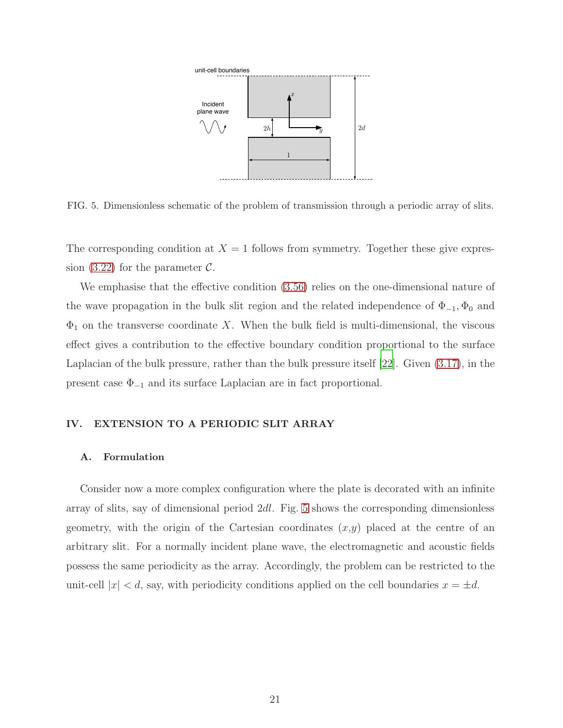

<span id="page-20-1"></span>FIG. 5. Dimensionless schematic of the problem of transmission through a periodic array of slits.

The corresponding condition at  $X = 1$  follows from symmetry. Together these give expres-sion [\(3.22\)](#page-12-2) for the parameter  $\mathcal{C}$ .

We emphasise that the effective condition [\(3.56\)](#page-19-6) relies on the one-dimensional nature of the wave propagation in the bulk slit region and the related independence of  $\Phi_{-1}, \Phi_0$  and  $\Phi_1$  on the transverse coordinate X. When the bulk field is multi-dimensional, the viscous effect gives a contribution to the effective boundary condition proportional to the surface Laplacian of the bulk pressure, rather than the bulk pressure itself [\[22](#page-25-11)]. Given [\(3.17\)](#page-11-2), in the present case  $\Phi_{-1}$  and its surface Laplacian are in fact proportional.

## <span id="page-20-0"></span>IV. EXTENSION TO A PERIODIC SLIT ARRAY

## A. Formulation

Consider now a more complex configuration where the plate is decorated with an infinite array of slits, say of dimensional period 2dl. Fig. [5](#page-20-1) shows the corresponding dimensionless geometry, with the origin of the Cartesian coordinates  $(x,y)$  placed at the centre of an arbitrary slit. For a normally incident plane wave, the electromagnetic and acoustic fields possess the same periodicity as the array. Accordingly, the problem can be restricted to the unit-cell  $|x| < d$ , say, with periodicity conditions applied on the cell boundaries  $x = \pm d$ .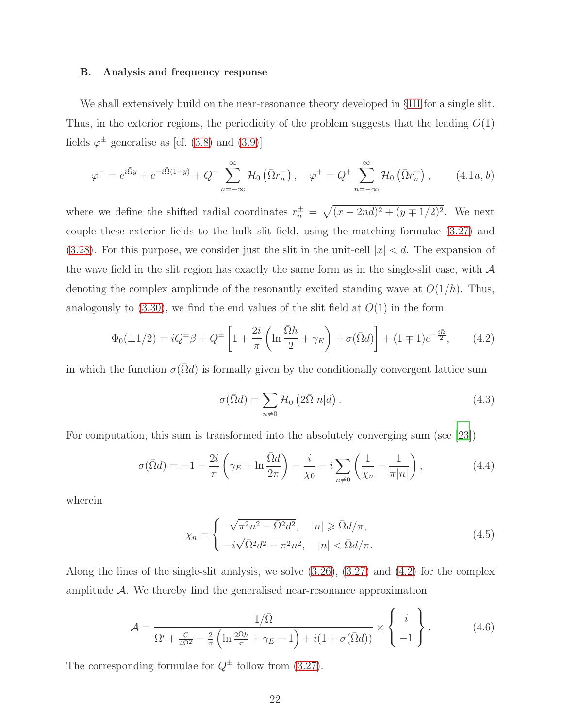#### B. Analysis and frequency response

We shall extensively build on the near-resonance theory developed in §[III](#page-7-0) for a single slit. Thus, in the exterior regions, the periodicity of the problem suggests that the leading  $O(1)$ fields  $\varphi^{\pm}$  generalise as [cf. [\(3.8\)](#page-10-2) and [\(3.9\)](#page-10-3)]

<span id="page-21-2"></span>
$$
\varphi^{-} = e^{i\overline{\Omega}y} + e^{-i\overline{\Omega}(1+y)} + Q^{-} \sum_{n=-\infty}^{\infty} \mathcal{H}_0(\overline{\Omega}r_n^{-}), \quad \varphi^{+} = Q^{+} \sum_{n=-\infty}^{\infty} \mathcal{H}_0(\overline{\Omega}r_n^{+}), \qquad (4.1a, b)
$$

where we define the shifted radial coordinates  $r_n^{\pm} = \sqrt{(x - 2nd)^2 + (y \mp 1/2)^2}$ . We next couple these exterior fields to the bulk slit field, using the matching formulae [\(3.27\)](#page-13-2) and [\(3.28\)](#page-13-0). For this purpose, we consider just the slit in the unit-cell  $|x| < d$ . The expansion of the wave field in the slit region has exactly the same form as in the single-slit case, with  $\mathcal A$ denoting the complex amplitude of the resonantly excited standing wave at  $O(1/h)$ . Thus, analogously to  $(3.30)$ , we find the end values of the slit field at  $O(1)$  in the form

<span id="page-21-0"></span>
$$
\Phi_0(\pm 1/2) = iQ^{\pm}\beta + Q^{\pm} \left[ 1 + \frac{2i}{\pi} \left( \ln \frac{\bar{\Omega}h}{2} + \gamma_E \right) + \sigma(\bar{\Omega}d) \right] + (1 \mp 1)e^{-\frac{i\bar{\Omega}}{2}}, \quad (4.2)
$$

in which the function  $\sigma(\bar{\Omega}d)$  is formally given by the conditionally convergent lattice sum

$$
\sigma(\bar{\Omega}d) = \sum_{n \neq 0} \mathcal{H}_0 \left( 2\bar{\Omega}|n|d \right). \tag{4.3}
$$

For computation, this sum is transformed into the absolutely converging sum (see [\[23](#page-26-0)])

$$
\sigma(\bar{\Omega}d) = -1 - \frac{2i}{\pi} \left( \gamma_E + \ln \frac{\bar{\Omega}d}{2\pi} \right) - \frac{i}{\chi_0} - i \sum_{n \neq 0} \left( \frac{1}{\chi_n} - \frac{1}{\pi |n|} \right),\tag{4.4}
$$

wherein

$$
\chi_n = \begin{cases}\n\sqrt{\pi^2 n^2 - \bar{\Omega}^2 d^2}, & |n| \ge \bar{\Omega} d/\pi, \\
-i\sqrt{\bar{\Omega}^2 d^2 - \pi^2 n^2}, & |n| < \bar{\Omega} d/\pi.\n\end{cases}
$$
\n(4.5)

Along the lines of the single-slit analysis, we solve [\(3.26\)](#page-13-1), [\(3.27\)](#page-13-2) and [\(4.2\)](#page-21-0) for the complex amplitude  $A$ . We thereby find the generalised near-resonance approximation

<span id="page-21-1"></span>
$$
\mathcal{A} = \frac{1/\bar{\Omega}}{\Omega' + \frac{\mathcal{C}}{4\Omega^2} - \frac{2}{\pi} \left( \ln \frac{2\bar{\Omega}h}{\pi} + \gamma_E - 1 \right) + i(1 + \sigma(\bar{\Omega}d))} \times \begin{Bmatrix} i \\ -1 \end{Bmatrix}.
$$
 (4.6)

The corresponding formulae for  $Q^{\pm}$  follow from [\(3.27\)](#page-13-2).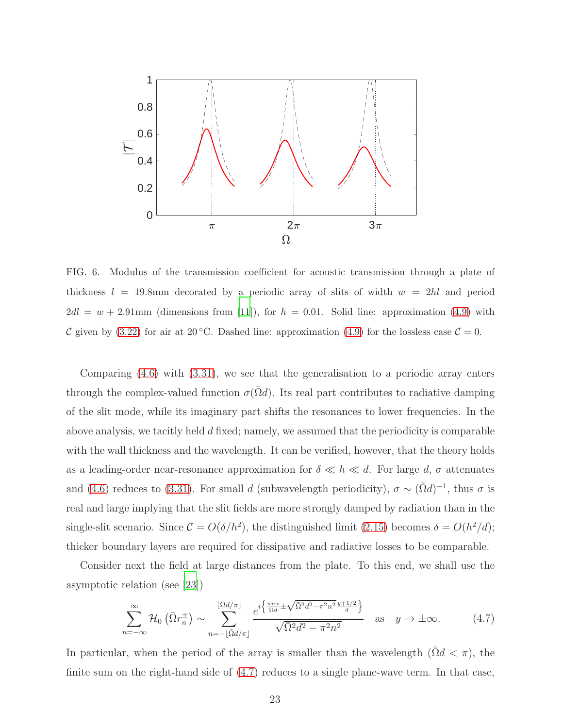

<span id="page-22-1"></span>FIG. 6. Modulus of the transmission coefficient for acoustic transmission through a plate of thickness  $l = 19.8 \text{mm}$  decorated by a periodic array of slits of width  $w = 2hl$  and period  $2dl = w + 2.91$ mm (dimensions from [\[11](#page-25-5)]), for  $h = 0.01$ . Solid line: approximation [\(4.9\)](#page-23-0) with C given by [\(3.22\)](#page-12-2) for air at 20 °C. Dashed line: approximation [\(4.9\)](#page-23-0) for the lossless case  $\mathcal{C} = 0$ .

Comparing [\(4.6\)](#page-21-1) with [\(3.31\)](#page-15-1), we see that the generalisation to a periodic array enters through the complex-valued function  $\sigma(\Omega d)$ . Its real part contributes to radiative damping of the slit mode, while its imaginary part shifts the resonances to lower frequencies. In the above analysis, we tacitly held d fixed; namely, we assumed that the periodicity is comparable with the wall thickness and the wavelength. It can be verified, however, that the theory holds as a leading-order near-resonance approximation for  $\delta \ll h \ll d$ . For large d,  $\sigma$  attenuates and [\(4.6\)](#page-21-1) reduces to [\(3.31\)](#page-15-1). For small d (subwavelength periodicity),  $\sigma \sim (\bar{\Omega}d)^{-1}$ , thus  $\sigma$  is real and large implying that the slit fields are more strongly damped by radiation than in the single-slit scenario. Since  $C = O(\delta/h^2)$ , the distinguished limit [\(2.15\)](#page-7-1) becomes  $\delta = O(h^2/d)$ ; thicker boundary layers are required for dissipative and radiative losses to be comparable.

Consider next the field at large distances from the plate. To this end, we shall use the asymptotic relation (see [\[23\]](#page-26-0))

<span id="page-22-0"></span>
$$
\sum_{n=-\infty}^{\infty} \mathcal{H}_0\left(\bar{\Omega}r_n^{\pm}\right) \sim \sum_{n=-\lfloor \bar{\Omega}d/\pi \rfloor}^{\lfloor \bar{\Omega}d/\pi \rfloor} \frac{e^{i\left\{\frac{\pi nx}{\Omega d} \pm \sqrt{\bar{\Omega}^2 d^2 - \pi^2 n^2} \frac{y\mp 1/2}{d}\right\}}}{\sqrt{\bar{\Omega}^2 d^2 - \pi^2 n^2}} \quad \text{as} \quad y \to \pm \infty. \tag{4.7}
$$

In particular, when the period of the array is smaller than the wavelength  $(\bar{\Omega}d \leq \pi)$ , the finite sum on the right-hand side of [\(4.7\)](#page-22-0) reduces to a single plane-wave term. In that case,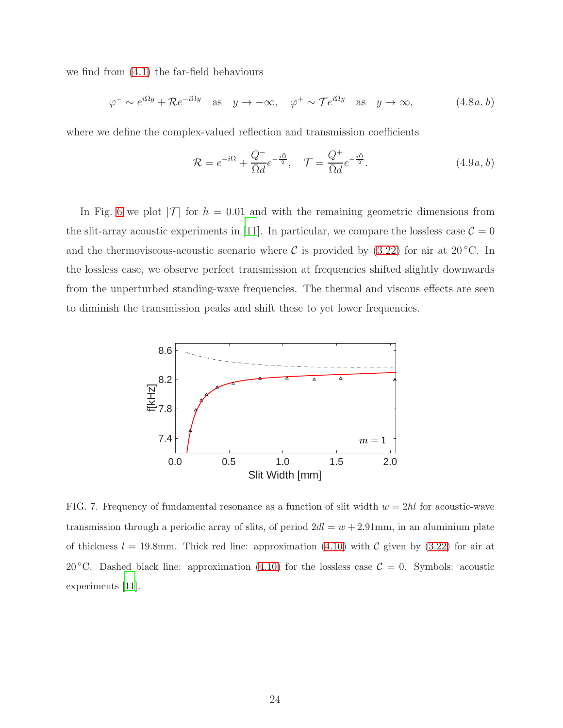we find from [\(4.1\)](#page-21-2) the far-field behaviours

$$
\varphi^- \sim e^{i\bar{\Omega}y} + \mathcal{R}e^{-i\bar{\Omega}y} \quad \text{as} \quad y \to -\infty, \quad \varphi^+ \sim \mathcal{T}e^{i\bar{\Omega}y} \quad \text{as} \quad y \to \infty,
$$
 (4.8*a*, *b*)

where we define the complex-valued reflection and transmission coefficients

<span id="page-23-0"></span>
$$
\mathcal{R} = e^{-i\bar{\Omega}} + \frac{Q^{-}}{\bar{\Omega}d}e^{-\frac{i\bar{\Omega}}{2}}, \quad \mathcal{T} = \frac{Q^{+}}{\bar{\Omega}d}e^{-\frac{i\bar{\Omega}}{2}}.
$$
\n(4.9*a*, *b*)

In Fig. [6](#page-22-1) we plot  $|\mathcal{T}|$  for  $h = 0.01$  and with the remaining geometric dimensions from the slit-array acoustic experiments in [\[11\]](#page-25-5). In particular, we compare the lossless case  $\mathcal{C} = 0$ and the thermoviscous-acoustic scenario where C is provided by  $(3.22)$  for air at 20 °C. In the lossless case, we observe perfect transmission at frequencies shifted slightly downwards from the unperturbed standing-wave frequencies. The thermal and viscous effects are seen to diminish the transmission peaks and shift these to yet lower frequencies.



<span id="page-23-1"></span>FIG. 7. Frequency of fundamental resonance as a function of slit width  $w = 2hl$  for acoustic-wave transmission through a periodic array of slits, of period  $2dl = w + 2.91$ mm, in an aluminium plate of thickness  $l = 19.8$ mm. Thick red line: approximation [\(4.10\)](#page-24-3) with C given by [\(3.22\)](#page-12-2) for air at 20 °C. Dashed black line: approximation [\(4.10\)](#page-24-3) for the lossless case  $C = 0$ . Symbols: acoustic experiments [\[11\]](#page-25-5).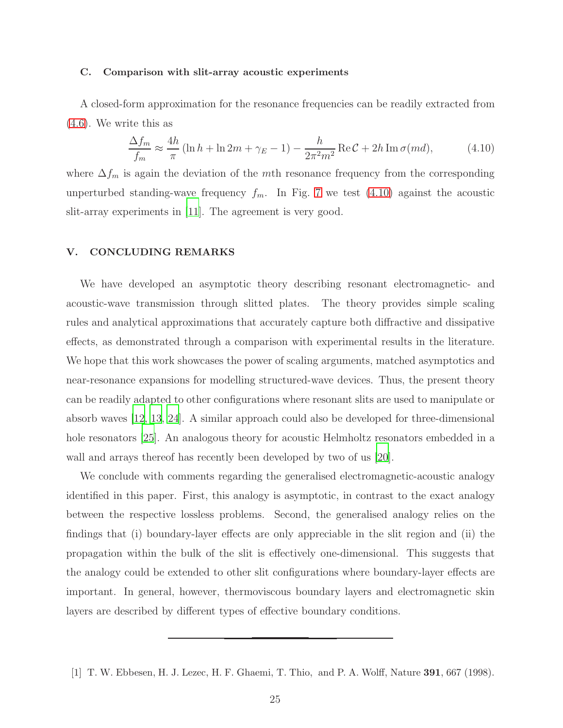#### <span id="page-24-1"></span>C. Comparison with slit-array acoustic experiments

A closed-form approximation for the resonance frequencies can be readily extracted from [\(4.6\)](#page-21-1). We write this as

<span id="page-24-3"></span>
$$
\frac{\Delta f_m}{f_m} \approx \frac{4h}{\pi} \left( \ln h + \ln 2m + \gamma_E - 1 \right) - \frac{h}{2\pi^2 m^2} \operatorname{Re} \mathcal{C} + 2h \operatorname{Im} \sigma(m d),\tag{4.10}
$$

where  $\Delta f_m$  is again the deviation of the mth resonance frequency from the corresponding unperturbed standing-wave frequency  $f_m$ . In Fig. [7](#page-23-1) we test [\(4.10\)](#page-24-3) against the acoustic slit-array experiments in [\[11](#page-25-5)]. The agreement is very good.

### <span id="page-24-2"></span>V. CONCLUDING REMARKS

We have developed an asymptotic theory describing resonant electromagnetic- and acoustic-wave transmission through slitted plates. The theory provides simple scaling rules and analytical approximations that accurately capture both diffractive and dissipative effects, as demonstrated through a comparison with experimental results in the literature. We hope that this work showcases the power of scaling arguments, matched asymptotics and near-resonance expansions for modelling structured-wave devices. Thus, the present theory can be readily adapted to other configurations where resonant slits are used to manipulate or absorb waves [\[12](#page-25-12), [13,](#page-25-13) [24\]](#page-26-1). A similar approach could also be developed for three-dimensional hole resonators [\[25\]](#page-26-2). An analogous theory for acoustic Helmholtz resonators embedded in a wall and arrays thereof has recently been developed by two of us [\[20](#page-25-9)].

We conclude with comments regarding the generalised electromagnetic-acoustic analogy identified in this paper. First, this analogy is asymptotic, in contrast to the exact analogy between the respective lossless problems. Second, the generalised analogy relies on the findings that (i) boundary-layer effects are only appreciable in the slit region and (ii) the propagation within the bulk of the slit is effectively one-dimensional. This suggests that the analogy could be extended to other slit configurations where boundary-layer effects are important. In general, however, thermoviscous boundary layers and electromagnetic skin layers are described by different types of effective boundary conditions.

<span id="page-24-0"></span><sup>[1]</sup> T. W. Ebbesen, H. J. Lezec, H. F. Ghaemi, T. Thio, and P. A. Wolff, Nature 391, 667 (1998).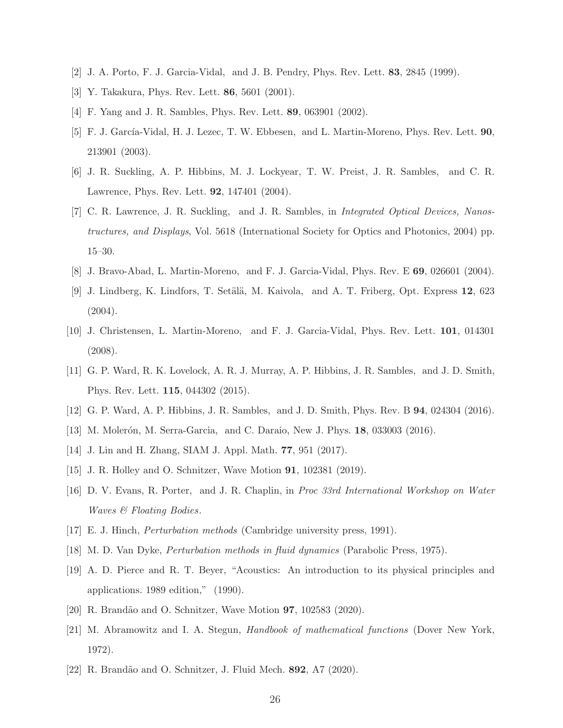- <span id="page-25-1"></span><span id="page-25-0"></span>[2] J. A. Porto, F. J. Garcia-Vidal, and J. B. Pendry, Phys. Rev. Lett. 83, 2845 (1999).
- [3] Y. Takakura, Phys. Rev. Lett. 86, 5601 (2001).
- [4] F. Yang and J. R. Sambles, Phys. Rev. Lett. 89, 063901 (2002).
- [5] F. J. García-Vidal, H. J. Lezec, T. W. Ebbesen, and L. Martin-Moreno, Phys. Rev. Lett. 90, 213901 (2003).
- <span id="page-25-4"></span>[6] J. R. Suckling, A. P. Hibbins, M. J. Lockyear, T. W. Preist, J. R. Sambles, and C. R. Lawrence, Phys. Rev. Lett. 92, 147401 (2004).
- [7] C. R. Lawrence, J. R. Suckling, and J. R. Sambles, in Integrated Optical Devices, Nanostructures, and Displays, Vol. 5618 (International Society for Optics and Photonics, 2004) pp. 15–30.
- [8] J. Bravo-Abad, L. Martin-Moreno, and F. J. Garcia-Vidal, Phys. Rev. E 69, 026601 (2004).
- [9] J. Lindberg, K. Lindfors, T. Setälä, M. Kaivola, and A. T. Friberg, Opt. Express 12, 623  $(2004).$
- [10] J. Christensen, L. Martin-Moreno, and F. J. Garcia-Vidal, Phys. Rev. Lett. 101, 014301 (2008).
- <span id="page-25-5"></span>[11] G. P. Ward, R. K. Lovelock, A. R. J. Murray, A. P. Hibbins, J. R. Sambles, and J. D. Smith, Phys. Rev. Lett. 115, 044302 (2015).
- <span id="page-25-12"></span>[12] G. P. Ward, A. P. Hibbins, J. R. Sambles, and J. D. Smith, Phys. Rev. B 94, 024304 (2016).
- <span id="page-25-13"></span>[13] M. Molerón, M. Serra-Garcia, and C. Daraio, New J. Phys. 18, 033003 (2016).
- [14] J. Lin and H. Zhang, SIAM J. Appl. Math. 77, 951 (2017).
- <span id="page-25-2"></span>[15] J. R. Holley and O. Schnitzer, Wave Motion 91, 102381 (2019).
- <span id="page-25-3"></span>[16] D. V. Evans, R. Porter, and J. R. Chaplin, in Proc 33rd International Workshop on Water Waves & Floating Bodies.
- <span id="page-25-6"></span>[17] E. J. Hinch, Perturbation methods (Cambridge university press, 1991).
- <span id="page-25-7"></span>[18] M. D. Van Dyke, Perturbation methods in fluid dynamics (Parabolic Press, 1975).
- <span id="page-25-8"></span>[19] A. D. Pierce and R. T. Beyer, "Acoustics: An introduction to its physical principles and applications. 1989 edition," (1990).
- <span id="page-25-9"></span>[20] R. Brandão and O. Schnitzer, Wave Motion **97**, 102583 (2020).
- <span id="page-25-10"></span>[21] M. Abramowitz and I. A. Stegun, Handbook of mathematical functions (Dover New York, 1972).
- <span id="page-25-11"></span>[22] R. Brandão and O. Schnitzer, J. Fluid Mech. 892, A7 (2020).